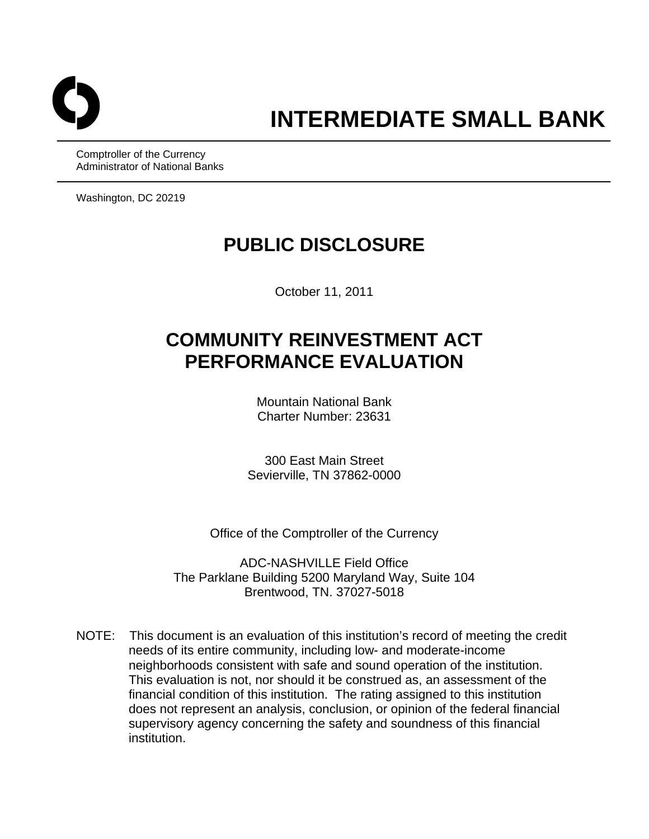

Comptroller of the Currency Administrator of National Banks

Washington, DC 20219

## **PUBLIC DISCLOSURE**

October 11, 2011

# **COMMUNITY REINVESTMENT ACT PERFORMANCE EVALUATION**

Mountain National Bank Charter Number: 23631

300 East Main Street Sevierville, TN 37862-0000

Office of the Comptroller of the Currency

ADC-NASHVILLE Field Office The Parklane Building 5200 Maryland Way, Suite 104 Brentwood, TN. 37027-5018

NOTE: This document is an evaluation of this institution's record of meeting the credit needs of its entire community, including low- and moderate-income neighborhoods consistent with safe and sound operation of the institution. This evaluation is not, nor should it be construed as, an assessment of the financial condition of this institution. The rating assigned to this institution does not represent an analysis, conclusion, or opinion of the federal financial supervisory agency concerning the safety and soundness of this financial institution.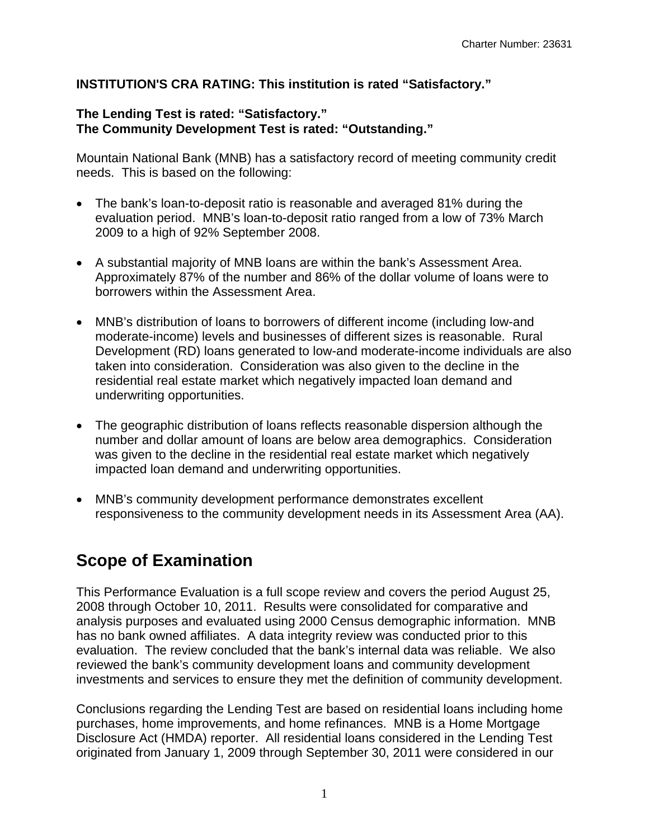## **INSTITUTION'S CRA RATING: This institution is rated "Satisfactory."**

### **The Lending Test is rated: "Satisfactory." The Community Development Test is rated: "Outstanding."**

Mountain National Bank (MNB) has a satisfactory record of meeting community credit needs. This is based on the following:

- The bank's loan-to-deposit ratio is reasonable and averaged 81% during the evaluation period. MNB's loan-to-deposit ratio ranged from a low of 73% March 2009 to a high of 92% September 2008.
- A substantial majority of MNB loans are within the bank's Assessment Area. Approximately 87% of the number and 86% of the dollar volume of loans were to borrowers within the Assessment Area.
- MNB's distribution of loans to borrowers of different income (including low-and moderate-income) levels and businesses of different sizes is reasonable. Rural Development (RD) loans generated to low-and moderate-income individuals are also taken into consideration. Consideration was also given to the decline in the residential real estate market which negatively impacted loan demand and underwriting opportunities.
- The geographic distribution of loans reflects reasonable dispersion although the number and dollar amount of loans are below area demographics. Consideration was given to the decline in the residential real estate market which negatively impacted loan demand and underwriting opportunities.
- MNB's community development performance demonstrates excellent responsiveness to the community development needs in its Assessment Area (AA).

## **Scope of Examination**

This Performance Evaluation is a full scope review and covers the period August 25, 2008 through October 10, 2011. Results were consolidated for comparative and analysis purposes and evaluated using 2000 Census demographic information. MNB has no bank owned affiliates. A data integrity review was conducted prior to this evaluation. The review concluded that the bank's internal data was reliable. We also reviewed the bank's community development loans and community development investments and services to ensure they met the definition of community development.

Conclusions regarding the Lending Test are based on residential loans including home purchases, home improvements, and home refinances. MNB is a Home Mortgage Disclosure Act (HMDA) reporter. All residential loans considered in the Lending Test originated from January 1, 2009 through September 30, 2011 were considered in our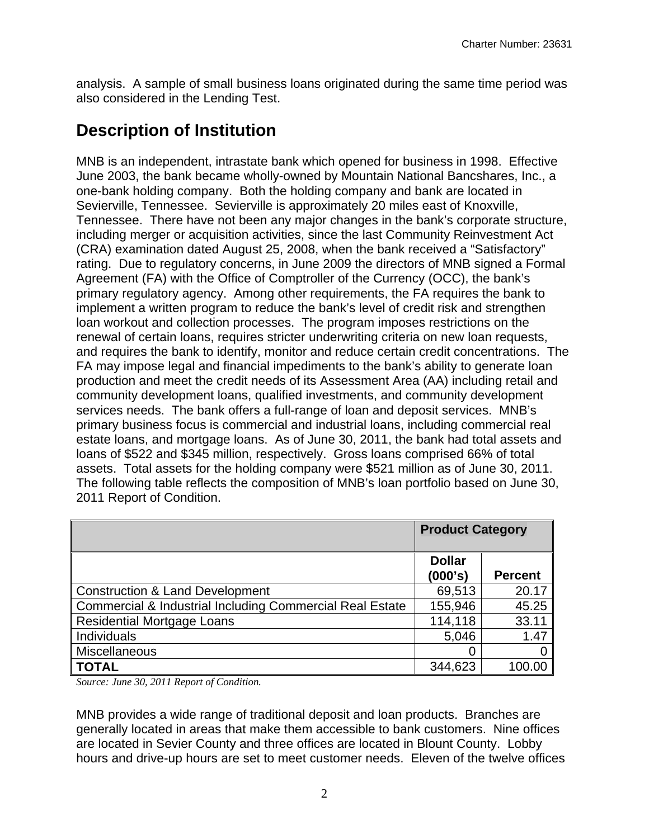analysis. A sample of small business loans originated during the same time period was also considered in the Lending Test.

## **Description of Institution**

MNB is an independent, intrastate bank which opened for business in 1998. Effective June 2003, the bank became wholly-owned by Mountain National Bancshares, Inc., a one-bank holding company. Both the holding company and bank are located in Sevierville, Tennessee. Sevierville is approximately 20 miles east of Knoxville, Tennessee. There have not been any major changes in the bank's corporate structure, including merger or acquisition activities, since the last Community Reinvestment Act (CRA) examination dated August 25, 2008, when the bank received a "Satisfactory" rating. Due to regulatory concerns, in June 2009 the directors of MNB signed a Formal Agreement (FA) with the Office of Comptroller of the Currency (OCC), the bank's primary regulatory agency. Among other requirements, the FA requires the bank to implement a written program to reduce the bank's level of credit risk and strengthen loan workout and collection processes. The program imposes restrictions on the renewal of certain loans, requires stricter underwriting criteria on new loan requests, and requires the bank to identify, monitor and reduce certain credit concentrations. The FA may impose legal and financial impediments to the bank's ability to generate loan production and meet the credit needs of its Assessment Area (AA) including retail and community development loans, qualified investments, and community development services needs. The bank offers a full-range of loan and deposit services. MNB's primary business focus is commercial and industrial loans, including commercial real estate loans, and mortgage loans. As of June 30, 2011, the bank had total assets and loans of \$522 and \$345 million, respectively. Gross loans comprised 66% of total assets. Total assets for the holding company were \$521 million as of June 30, 2011. The following table reflects the composition of MNB's loan portfolio based on June 30, 2011 Report of Condition.

|                                                                     | <b>Product Category</b>  |                |
|---------------------------------------------------------------------|--------------------------|----------------|
|                                                                     | <b>Dollar</b><br>(000's) | <b>Percent</b> |
| <b>Construction &amp; Land Development</b>                          | 69,513                   | 20.17          |
| <b>Commercial &amp; Industrial Including Commercial Real Estate</b> | 155,946                  | 45.25          |
| <b>Residential Mortgage Loans</b>                                   | 114,118                  | 33.11          |
| Individuals                                                         | 5,046                    | 1.47           |
| Miscellaneous                                                       | 0                        |                |
| <b>TOTAL</b>                                                        | 344,623                  | 100.00         |

*Source: June 30, 2011 Report of Condition.* 

MNB provides a wide range of traditional deposit and loan products. Branches are generally located in areas that make them accessible to bank customers. Nine offices are located in Sevier County and three offices are located in Blount County. Lobby hours and drive-up hours are set to meet customer needs. Eleven of the twelve offices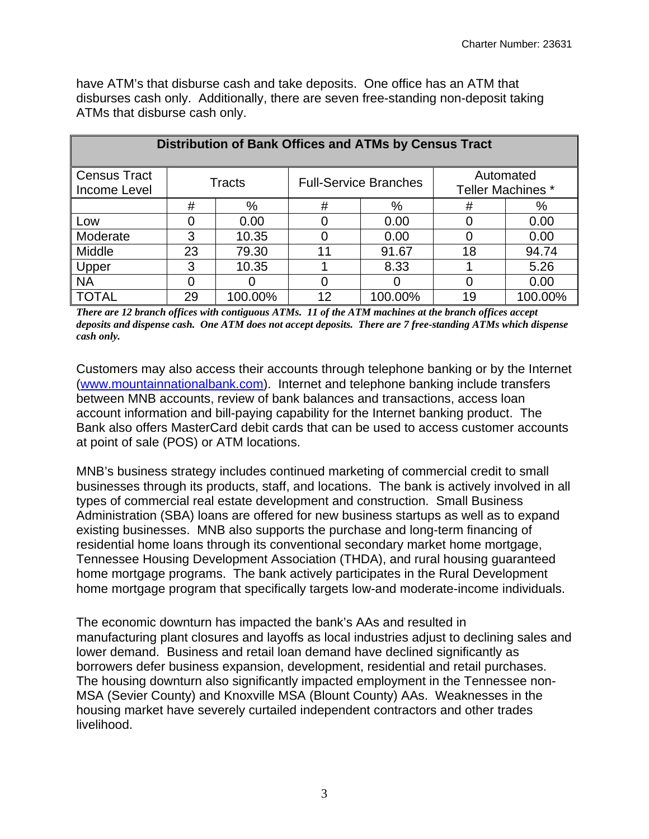have ATM's that disburse cash and take deposits. One office has an ATM that disburses cash only. Additionally, there are seven free-standing non-deposit taking ATMs that disburse cash only.

| Distribution of Bank Offices and ATMs by Census Tract                                                           |    |         |    |         |    |         |  |  |  |  |  |
|-----------------------------------------------------------------------------------------------------------------|----|---------|----|---------|----|---------|--|--|--|--|--|
| <b>Census Tract</b><br>Automated<br><b>Full-Service Branches</b><br>Tracts<br>Teller Machines *<br>Income Level |    |         |    |         |    |         |  |  |  |  |  |
|                                                                                                                 | #  | %       | #  | %       | #  | %       |  |  |  |  |  |
| Low                                                                                                             |    | 0.00    |    | 0.00    |    | 0.00    |  |  |  |  |  |
| Moderate                                                                                                        | 3  | 10.35   |    | 0.00    |    | 0.00    |  |  |  |  |  |
| Middle                                                                                                          | 23 | 79.30   | 11 | 91.67   | 18 | 94.74   |  |  |  |  |  |
| Upper                                                                                                           | 3  | 10.35   |    | 8.33    |    | 5.26    |  |  |  |  |  |
| <b>NA</b>                                                                                                       |    |         |    |         |    | 0.00    |  |  |  |  |  |
| <b>TOTAL</b>                                                                                                    | 29 | 100.00% | 12 | 100.00% | 19 | 100.00% |  |  |  |  |  |

*There are 12 branch offices with contiguous ATMs. 11 of the ATM machines at the branch offices accept deposits and dispense cash. One ATM does not accept deposits. There are 7 free-standing ATMs which dispense cash only.* 

Customers may also access their accounts through telephone banking or by the Internet (www.mountainnationalbank.com). Internet and telephone banking include transfers between MNB accounts, review of bank balances and transactions, access loan account information and bill-paying capability for the Internet banking product. The Bank also offers MasterCard debit cards that can be used to access customer accounts at point of sale (POS) or ATM locations.

MNB's business strategy includes continued marketing of commercial credit to small businesses through its products, staff, and locations. The bank is actively involved in all types of commercial real estate development and construction. Small Business Administration (SBA) loans are offered for new business startups as well as to expand existing businesses. MNB also supports the purchase and long-term financing of residential home loans through its conventional secondary market home mortgage, Tennessee Housing Development Association (THDA), and rural housing guaranteed home mortgage programs. The bank actively participates in the Rural Development home mortgage program that specifically targets low-and moderate-income individuals.

borrowers defer business expansion, development, residential and retail purchases.<br>The housing downturn also significantly impacted employment in the Tennessee non-The economic downturn has impacted the bank's AAs and resulted in manufacturing plant closures and layoffs as local industries adjust to declining sales and lower demand. Business and retail loan demand have declined significantly as MSA (Sevier County) and Knoxville MSA (Blount County) AAs. Weaknesses in the housing market have severely curtailed independent contractors and other trades livelihood.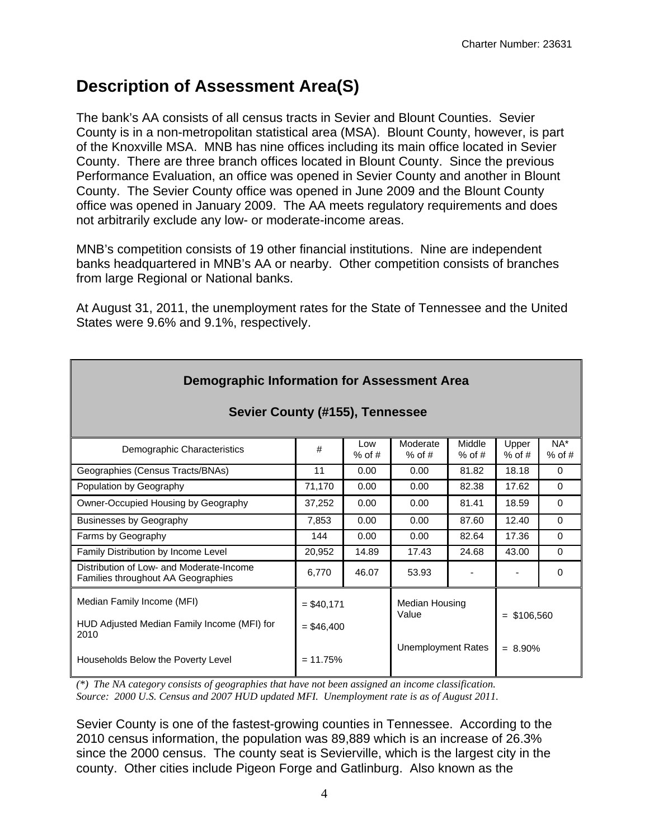## **Description of Assessment Area(S)**

The bank's AA consists of all census tracts in Sevier and Blount Counties. Sevier County is in a non-metropolitan statistical area (MSA). Blount County, however, is part of the Knoxville MSA. MNB has nine offices including its main office located in Sevier County. There are three branch offices located in Blount County. Since the previous Performance Evaluation, an office was opened in Sevier County and another in Blount County. The Sevier County office was opened in June 2009 and the Blount County office was opened in January 2009. The AA meets regulatory requirements and does not arbitrarily exclude any low- or moderate-income areas.

MNB's competition consists of 19 other financial institutions. Nine are independent banks headquartered in MNB's AA or nearby. Other competition consists of branches from large Regional or National banks.

At August 31, 2011, the unemployment rates for the State of Tennessee and the United States were 9.6% and 9.1%, respectively.

| <b>Demographic Information for Assessment Area</b>                             |              |                 |                           |                    |                   |                 |  |  |  |  |  |  |
|--------------------------------------------------------------------------------|--------------|-----------------|---------------------------|--------------------|-------------------|-----------------|--|--|--|--|--|--|
| Sevier County (#155), Tennessee                                                |              |                 |                           |                    |                   |                 |  |  |  |  |  |  |
| Demographic Characteristics                                                    | #            | Low<br>$%$ of # | Moderate<br>$%$ of #      | Middle<br>$%$ of # | Upper<br>$%$ of # | NA*<br>$%$ of # |  |  |  |  |  |  |
| Geographies (Census Tracts/BNAs)                                               | 11           | 0.00            | 0.00                      | 81.82              | 18.18             | $\Omega$        |  |  |  |  |  |  |
| Population by Geography                                                        | 71,170       | 0.00            | 0.00                      | 82.38              | 17.62             | $\Omega$        |  |  |  |  |  |  |
| Owner-Occupied Housing by Geography                                            | 37,252       | 0.00            | 0.00                      | 81.41              | 18.59             | $\Omega$        |  |  |  |  |  |  |
| <b>Businesses by Geography</b>                                                 | 7,853        | 0.00            | 0.00                      | 87.60              | 12.40             | $\Omega$        |  |  |  |  |  |  |
| Farms by Geography                                                             | 144          | 0.00            | 0.00                      | 82.64              | 17.36             | $\Omega$        |  |  |  |  |  |  |
| Family Distribution by Income Level                                            | 20,952       | 14.89           | 17.43                     | 24.68              | 43.00             | $\Omega$        |  |  |  |  |  |  |
| Distribution of Low- and Moderate-Income<br>Families throughout AA Geographies | 6,770        | 46.07           | 53.93                     |                    |                   | $\Omega$        |  |  |  |  |  |  |
| Median Family Income (MFI)                                                     | $= $40,171$  |                 | Median Housing<br>Value   |                    | $=$ \$106,560     |                 |  |  |  |  |  |  |
| HUD Adjusted Median Family Income (MFI) for<br>2010                            | $=$ \$46.400 |                 |                           |                    |                   |                 |  |  |  |  |  |  |
| Households Below the Poverty Level                                             | $= 11.75%$   |                 | <b>Unemployment Rates</b> |                    | $= 8.90\%$        |                 |  |  |  |  |  |  |

*(\*) The NA category consists of geographies that have not been assigned an income classification. Source: 2000 U.S. Census and 2007 HUD updated MFI. Unemployment rate is as of August 2011.* 

Sevier County is one of the fastest-growing counties in Tennessee. According to the 2010 census information, the population was 89,889 which is an increase of 26.3% since the 2000 census. The county seat is Sevierville, which is the largest city in the county. Other cities include Pigeon Forge and Gatlinburg. Also known as the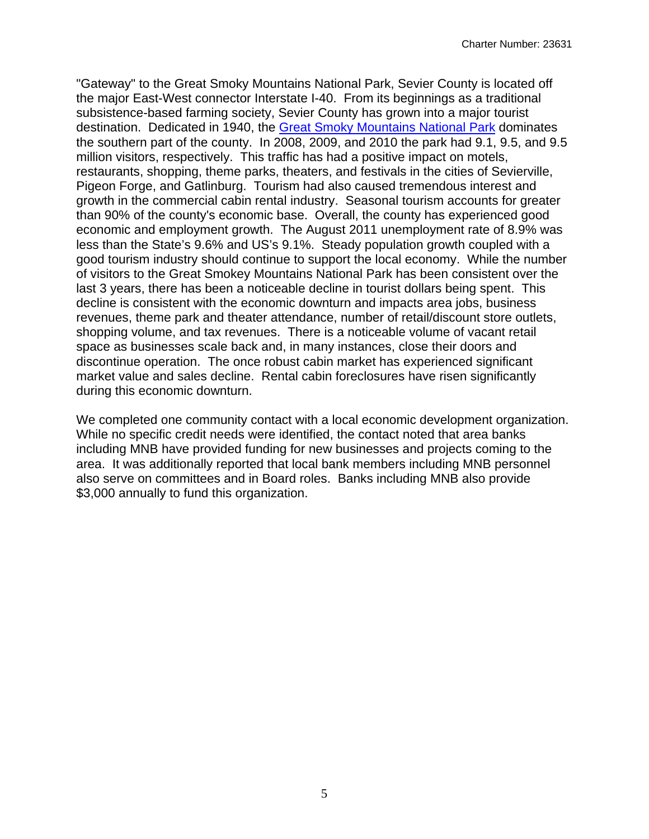"Gateway" to the Great Smoky Mountains National Park, Sevier County is located off the major East-West connector Interstate I-40. From its beginnings as a traditional subsistence-based farming society, Sevier County has grown into a major tourist destination. Dedicated in 1940, the Great Smoky Mountains National Park dominates the southern part of the county. In 2008, 2009, and 2010 the park had 9.1, 9.5, and 9.5 million visitors, respectively. This traffic has had a positive impact on motels, restaurants, shopping, theme parks, theaters, and festivals in the cities of Sevierville, Pigeon Forge, and Gatlinburg. Tourism had also caused tremendous interest and growth in the commercial cabin rental industry. Seasonal tourism accounts for greater than 90% of the county's economic base. Overall, the county has experienced good economic and employment growth. The August 2011 unemployment rate of 8.9% was less than the State's 9.6% and US's 9.1%. Steady population growth coupled with a good tourism industry should continue to support the local economy. While the number of visitors to the Great Smokey Mountains National Park has been consistent over the last 3 years, there has been a noticeable decline in tourist dollars being spent. This decline is consistent with the economic downturn and impacts area jobs, business revenues, theme park and theater attendance, number of retail/discount store outlets, shopping volume, and tax revenues. There is a noticeable volume of vacant retail space as businesses scale back and, in many instances, close their doors and discontinue operation. The once robust cabin market has experienced significant market value and sales decline. Rental cabin foreclosures have risen significantly during this economic downturn.

We completed one community contact with a local economic development organization. While no specific credit needs were identified, the contact noted that area banks including MNB have provided funding for new businesses and projects coming to the area. It was additionally reported that local bank members including MNB personnel also serve on committees and in Board roles. Banks including MNB also provide \$3,000 annually to fund this organization.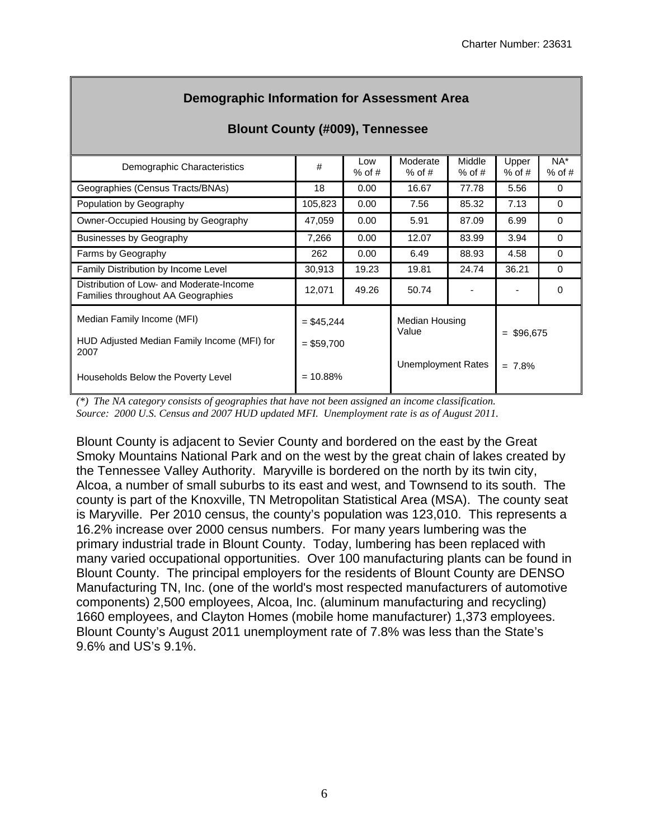| <b>Blount County (#009), Tennessee</b>                                         |                              |                 |                         |                    |                   |                 |  |  |  |  |
|--------------------------------------------------------------------------------|------------------------------|-----------------|-------------------------|--------------------|-------------------|-----------------|--|--|--|--|
| Demographic Characteristics                                                    | #                            | Low<br>$%$ of # | Moderate<br>$%$ of #    | Middle<br>$%$ of # | Upper<br>$%$ of # | NA*<br>$%$ of # |  |  |  |  |
| Geographies (Census Tracts/BNAs)                                               | 18                           | 0.00            | 16.67                   | 77.78              | 5.56              | $\Omega$        |  |  |  |  |
| Population by Geography                                                        | 105,823                      | 0.00            | 7.56                    | 85.32              | 7.13              | 0               |  |  |  |  |
| Owner-Occupied Housing by Geography                                            | 47,059                       | 0.00            | 5.91                    | 87.09              | 6.99              | $\Omega$        |  |  |  |  |
| <b>Businesses by Geography</b>                                                 | 7,266                        | 0.00            | 12.07                   | 83.99              | 3.94              | $\Omega$        |  |  |  |  |
| Farms by Geography                                                             | 262                          | 0.00            | 6.49                    | 88.93              | 4.58              | $\Omega$        |  |  |  |  |
| Family Distribution by Income Level                                            | 30,913                       | 19.23           | 19.81                   | 24.74              | 36.21             | $\Omega$        |  |  |  |  |
| Distribution of Low- and Moderate-Income<br>Families throughout AA Geographies | 12,071                       | 49.26           | 50.74                   |                    |                   | $\Omega$        |  |  |  |  |
| Median Family Income (MFI)<br>HUD Adjusted Median Family Income (MFI) for      | $=$ \$45,244<br>$=$ \$59,700 |                 | Median Housing<br>Value |                    | \$96,675<br>$=$   |                 |  |  |  |  |
| 2007<br>Households Below the Poverty Level                                     | $= 10.88\%$                  |                 | Unemployment Rates      |                    | 7.8%<br>$=$       |                 |  |  |  |  |

## **Demographic Information for Assessment Area**

*(\*) The NA category consists of geographies that have not been assigned an income classification. Source: 2000 U.S. Census and 2007 HUD updated MFI. Unemployment rate is as of August 2011.* 

Blount County is adjacent to Sevier County and bordered on the east by the Great Smoky Mountains National Park and on the west by the great chain of lakes created by the Tennessee Valley Authority. Maryville is bordered on the north by its twin city, Alcoa, a number of small suburbs to its east and west, and Townsend to its south. The county is part of the Knoxville, TN Metropolitan Statistical Area (MSA). The county seat is Maryville. Per 2010 census, the county's population was 123,010. This represents a 16.2% increase over 2000 census numbers. For many years lumbering was the primary industrial trade in Blount County. Today, lumbering has been replaced with many varied occupational opportunities. Over 100 manufacturing plants can be found in Blount County. The principal employers for the residents of Blount County are DENSO Manufacturing TN, Inc. (one of the world's most respected manufacturers of automotive components) 2,500 employees, Alcoa, Inc. (aluminum manufacturing and recycling) 1660 employees, and Clayton Homes (mobile home manufacturer) 1,373 employees. Blount County's August 2011 unemployment rate of 7.8% was less than the State's 9.6% and US's 9.1%.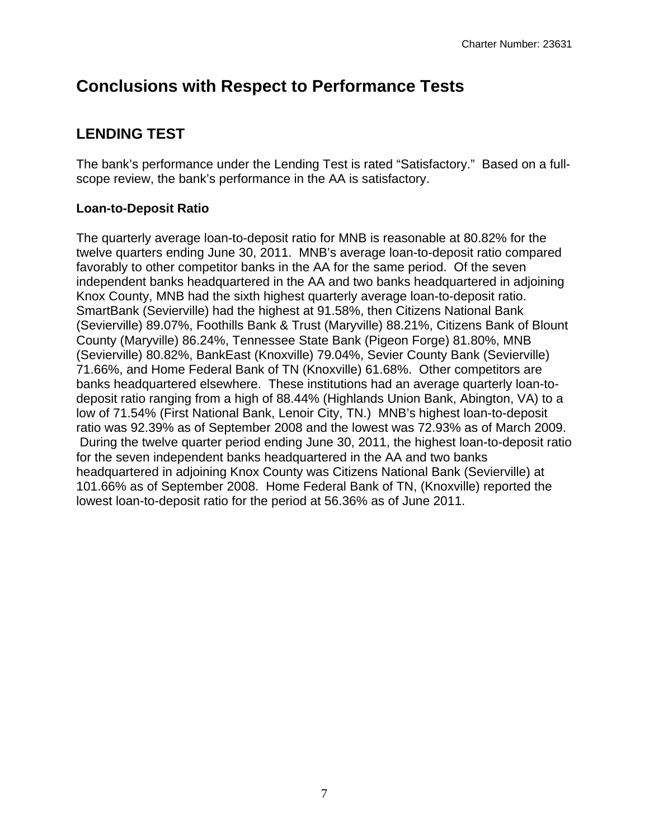## **Conclusions with Respect to Performance Tests**

## **LENDING TEST**

The bank's performance under the Lending Test is rated "Satisfactory." Based on a fullscope review, the bank's performance in the AA is satisfactory.

## **Loan-to-Deposit Ratio**

The quarterly average loan-to-deposit ratio for MNB is reasonable at 80.82% for the twelve quarters ending June 30, 2011. MNB's average loan-to-deposit ratio compared favorably to other competitor banks in the AA for the same period. Of the seven independent banks headquartered in the AA and two banks headquartered in adjoining Knox County, MNB had the sixth highest quarterly average loan-to-deposit ratio. SmartBank (Sevierville) had the highest at 91.58%, then Citizens National Bank (Sevierville) 89.07%, Foothills Bank & Trust (Maryville) 88.21%, Citizens Bank of Blount County (Maryville) 86.24%, Tennessee State Bank (Pigeon Forge) 81.80%, MNB (Sevierville) 80.82%, BankEast (Knoxville) 79.04%, Sevier County Bank (Sevierville) 71.66%, and Home Federal Bank of TN (Knoxville) 61.68%. Other competitors are banks headquartered elsewhere. These institutions had an average quarterly loan-todeposit ratio ranging from a high of 88.44% (Highlands Union Bank, Abington, VA) to a low of 71.54% (First National Bank, Lenoir City, TN.) MNB's highest loan-to-deposit ratio was 92.39% as of September 2008 and the lowest was 72.93% as of March 2009. During the twelve quarter period ending June 30, 2011, the highest loan-to-deposit ratio for the seven independent banks headquartered in the AA and two banks headquartered in adjoining Knox County was Citizens National Bank (Sevierville) at 101.66% as of September 2008. Home Federal Bank of TN, (Knoxville) reported the lowest loan-to-deposit ratio for the period at 56.36% as of June 2011.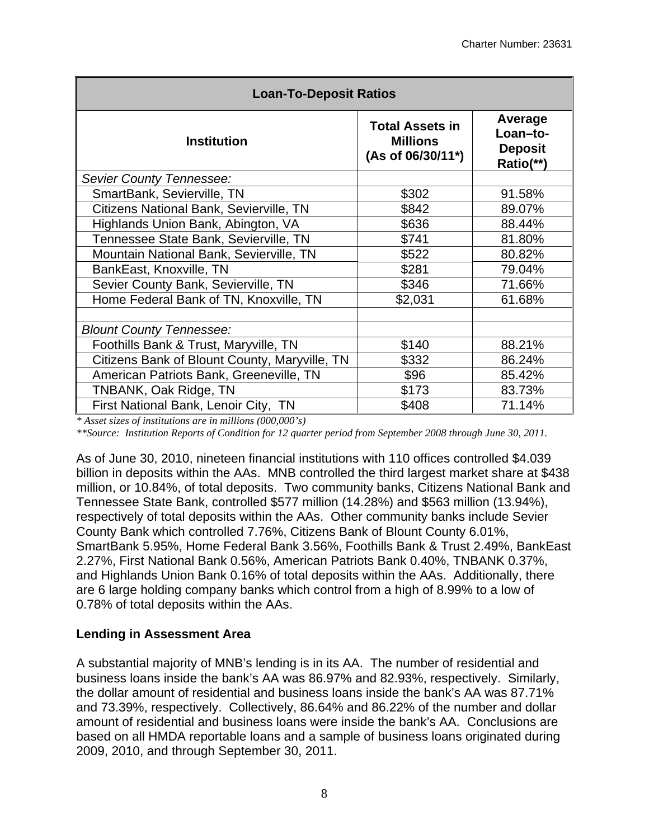| <b>Loan-To-Deposit Ratios</b>                 |                                                                |                                                    |  |  |  |  |  |  |
|-----------------------------------------------|----------------------------------------------------------------|----------------------------------------------------|--|--|--|--|--|--|
| <b>Institution</b>                            | <b>Total Assets in</b><br><b>Millions</b><br>(As of 06/30/11*) | Average<br>Loan-to-<br><b>Deposit</b><br>Ratio(**) |  |  |  |  |  |  |
| Sevier County Tennessee:                      |                                                                |                                                    |  |  |  |  |  |  |
| SmartBank, Sevierville, TN                    | \$302                                                          | 91.58%                                             |  |  |  |  |  |  |
| Citizens National Bank, Sevierville, TN       | \$842                                                          | 89.07%                                             |  |  |  |  |  |  |
| Highlands Union Bank, Abington, VA            | \$636                                                          | 88.44%                                             |  |  |  |  |  |  |
| Tennessee State Bank, Sevierville, TN         | \$741                                                          | 81.80%                                             |  |  |  |  |  |  |
| Mountain National Bank, Sevierville, TN       | \$522                                                          | 80.82%                                             |  |  |  |  |  |  |
| BankEast, Knoxville, TN                       | \$281                                                          | 79.04%                                             |  |  |  |  |  |  |
| Sevier County Bank, Sevierville, TN           | \$346                                                          | 71.66%                                             |  |  |  |  |  |  |
| Home Federal Bank of TN, Knoxville, TN        | \$2,031                                                        | 61.68%                                             |  |  |  |  |  |  |
| <b>Blount County Tennessee:</b>               |                                                                |                                                    |  |  |  |  |  |  |
| Foothills Bank & Trust, Maryville, TN         | \$140                                                          | 88.21%                                             |  |  |  |  |  |  |
| Citizens Bank of Blount County, Maryville, TN | \$332                                                          | 86.24%                                             |  |  |  |  |  |  |
| American Patriots Bank, Greeneville, TN       | \$96                                                           | 85.42%                                             |  |  |  |  |  |  |
| TNBANK, Oak Ridge, TN                         | \$173                                                          | 83.73%                                             |  |  |  |  |  |  |
| First National Bank, Lenoir City, TN          | \$408                                                          | 71.14%                                             |  |  |  |  |  |  |

*\* Asset sizes of institutions are in millions (000,000's)*

*\*\*Source: Institution Reports of Condition for 12 quarter period from September 2008 through June 30, 2011.* 

As of June 30, 2010, nineteen financial institutions with 110 offices controlled \$4.039 billion in deposits within the AAs. MNB controlled the third largest market share at \$438 million, or 10.84%, of total deposits. Two community banks, Citizens National Bank and Tennessee State Bank, controlled \$577 million (14.28%) and \$563 million (13.94%), respectively of total deposits within the AAs. Other community banks include Sevier County Bank which controlled 7.76%, Citizens Bank of Blount County 6.01%, SmartBank 5.95%, Home Federal Bank 3.56%, Foothills Bank & Trust 2.49%, BankEast 2.27%, First National Bank 0.56%, American Patriots Bank 0.40%, TNBANK 0.37%, and Highlands Union Bank 0.16% of total deposits within the AAs. Additionally, there are 6 large holding company banks which control from a high of 8.99% to a low of 0.78% of total deposits within the AAs.

## **Lending in Assessment Area**

A substantial majority of MNB's lending is in its AA. The number of residential and business loans inside the bank's AA was 86.97% and 82.93%, respectively. Similarly, the dollar amount of residential and business loans inside the bank's AA was 87.71% and 73.39%, respectively. Collectively, 86.64% and 86.22% of the number and dollar amount of residential and business loans were inside the bank's AA. Conclusions are based on all HMDA reportable loans and a sample of business loans originated during 2009, 2010, and through September 30, 2011.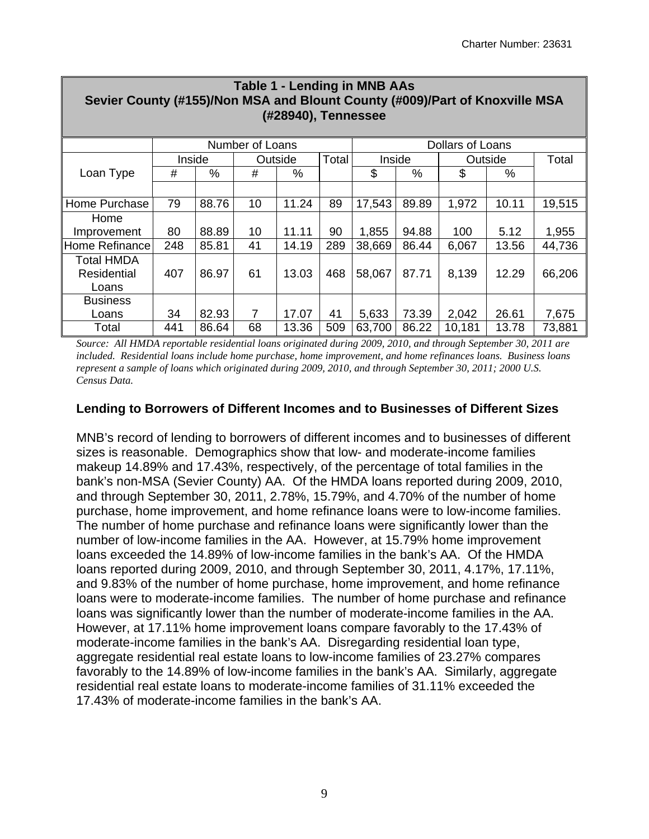| <b>Table 1 - Lending in MNB AAs</b><br>Sevier County (#155)/Non MSA and Blount County (#009)/Part of Knoxville MSA |     |        |                 |         |       |        |       |                  |         |        |
|--------------------------------------------------------------------------------------------------------------------|-----|--------|-----------------|---------|-------|--------|-------|------------------|---------|--------|
| (#28940), Tennessee                                                                                                |     |        |                 |         |       |        |       |                  |         |        |
|                                                                                                                    |     |        | Number of Loans |         |       |        |       | Dollars of Loans |         |        |
|                                                                                                                    |     | Inside |                 | Outside | Total | Inside |       |                  | Outside | Total  |
| Loan Type                                                                                                          | #   | $\%$   | #               | %       |       | \$     | %     | \$               | $\%$    |        |
|                                                                                                                    |     |        |                 |         |       |        |       |                  |         |        |
| Home Purchase                                                                                                      | 79  | 88.76  | 10              | 11.24   | 89    | 17,543 | 89.89 | 1,972            | 10.11   | 19,515 |
| Home                                                                                                               |     |        |                 |         |       |        |       |                  |         |        |
| Improvement                                                                                                        | 80  | 88.89  | 10              | 11.11   | 90    | 1,855  | 94.88 | 100              | 5.12    | 1,955  |
| Home Refinance                                                                                                     | 248 | 85.81  | 41              | 14.19   | 289   | 38,669 | 86.44 | 6,067            | 13.56   | 44,736 |
| <b>Total HMDA</b>                                                                                                  |     |        |                 |         |       |        |       |                  |         |        |
| Residential                                                                                                        | 407 | 86.97  | 61              | 13.03   | 468   | 58,067 | 87.71 | 8,139            | 12.29   | 66,206 |
| Loans                                                                                                              |     |        |                 |         |       |        |       |                  |         |        |
| <b>Business</b>                                                                                                    |     |        |                 |         |       |        |       |                  |         |        |
| Loans                                                                                                              | 34  | 82.93  | 7               | 17.07   | 41    | 5,633  | 73.39 | 2,042            | 26.61   | 7,675  |
| Total                                                                                                              | 441 | 86.64  | 68              | 13.36   | 509   | 63,700 | 86.22 | 10,181           | 13.78   | 73,881 |

*Source: All HMDA reportable residential loans originated during 2009, 2010, and through September 30, 2011 are included. Residential loans include home purchase, home improvement, and home refinances loans. Business loans represent a sample of loans which originated during 2009, 2010, and through September 30, 2011; 2000 U.S. Census Data.* 

#### **Lending to Borrowers of Different Incomes and to Businesses of Different Sizes**

MNB's record of lending to borrowers of different incomes and to businesses of different sizes is reasonable. Demographics show that low- and moderate-income families makeup 14.89% and 17.43%, respectively, of the percentage of total families in the bank's non-MSA (Sevier County) AA. Of the HMDA loans reported during 2009, 2010, and through September 30, 2011, 2.78%, 15.79%, and 4.70% of the number of home purchase, home improvement, and home refinance loans were to low-income families. The number of home purchase and refinance loans were significantly lower than the number of low-income families in the AA. However, at 15.79% home improvement loans exceeded the 14.89% of low-income families in the bank's AA. Of the HMDA loans reported during 2009, 2010, and through September 30, 2011, 4.17%, 17.11%, and 9.83% of the number of home purchase, home improvement, and home refinance loans were to moderate-income families. The number of home purchase and refinance loans was significantly lower than the number of moderate-income families in the AA. However, at 17.11% home improvement loans compare favorably to the 17.43% of moderate-income families in the bank's AA. Disregarding residential loan type, aggregate residential real estate loans to low-income families of 23.27% compares favorably to the 14.89% of low-income families in the bank's AA. Similarly, aggregate residential real estate loans to moderate-income families of 31.11% exceeded the 17.43% of moderate-income families in the bank's AA.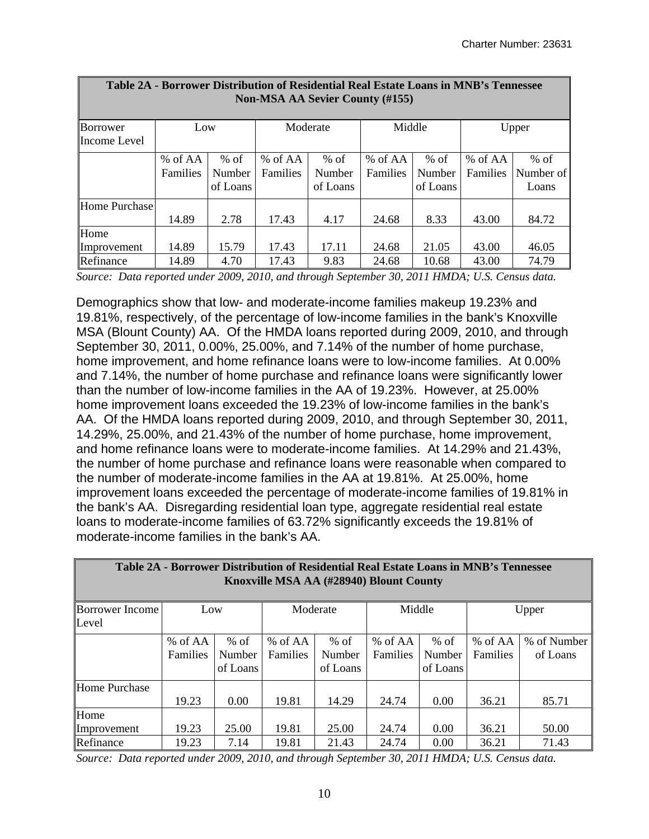┑

| Table ZA - Borrower Distribution of Residential Real Estate Loans in Minb's Tennessee<br><b>Non-MSA AA Sevier County (#155)</b> |                 |          |                 |          |                 |          |                 |           |  |  |  |
|---------------------------------------------------------------------------------------------------------------------------------|-----------------|----------|-----------------|----------|-----------------|----------|-----------------|-----------|--|--|--|
| Borrower                                                                                                                        | Low             |          |                 | Moderate | Middle          |          |                 | Upper     |  |  |  |
| Income Level                                                                                                                    |                 |          |                 |          |                 |          |                 |           |  |  |  |
|                                                                                                                                 | % of AA         | $%$ of   | % of AA         | $%$ of   | % of AA         | $%$ of   | % of AA         | $%$ of    |  |  |  |
|                                                                                                                                 | <b>Families</b> | Number   | <b>Families</b> | Number   | <b>Families</b> | Number   | <b>Families</b> | Number of |  |  |  |
|                                                                                                                                 |                 | of Loans |                 | of Loans |                 | of Loans |                 | Loans     |  |  |  |
| Home Purchase                                                                                                                   |                 |          |                 |          |                 |          |                 |           |  |  |  |
|                                                                                                                                 | 14.89           | 2.78     | 17.43           | 4.17     | 24.68           | 8.33     | 43.00           | 84.72     |  |  |  |
| Home                                                                                                                            |                 |          |                 |          |                 |          |                 |           |  |  |  |
| Improvement                                                                                                                     | 14.89           | 15.79    | 17.43           | 17.11    | 24.68           | 21.05    | 43.00           | 46.05     |  |  |  |
| Refinance                                                                                                                       | 14.89           | 4.70     | 17.43           | 9.83     | 24.68           | 10.68    | 43.00           | 74.79     |  |  |  |

| Table 2A - Borrower Distribution of Residential Real Estate Loans in MNB's Tennessee |
|--------------------------------------------------------------------------------------|
| <b>Non-MSA AA Sevier County (#155)</b>                                               |

 $\Box$ 

*Source: Data reported under 2009, 2010, and through September 30, 2011 HMDA; U.S. Census data.* 

Demographics show that low- and moderate-income families makeup 19.23% and 19.81%, respectively, of the percentage of low-income families in the bank's Knoxville MSA (Blount County) AA. Of the HMDA loans reported during 2009, 2010, and through September 30, 2011, 0.00%, 25.00%, and 7.14% of the number of home purchase, home improvement, and home refinance loans were to low-income families. At 0.00% and 7.14%, the number of home purchase and refinance loans were significantly lower than the number of low-income families in the AA of 19.23%. However, at 25.00% home improvement loans exceeded the 19.23% of low-income families in the bank's AA. Of the HMDA loans reported during 2009, 2010, and through September 30, 2011, 14.29%, 25.00%, and 21.43% of the number of home purchase, home improvement, and home refinance loans were to moderate-income families. At 14.29% and 21.43%, the number of home purchase and refinance loans were reasonable when compared to the number of moderate-income families in the AA at 19.81%. At 25.00%, home improvement loans exceeded the percentage of moderate-income families of 19.81% in the bank's AA. Disregarding residential loan type, aggregate residential real estate loans to moderate-income families of 63.72% significantly exceeds the 19.81% of moderate-income families in the bank's AA.

| Table 2A - Borrower Distribution of Residential Real Estate Loans in MNB's Tennessee<br>Knoxville MSA AA (#28940) Blount County |          |          |                 |          |                 |          |          |             |  |  |  |
|---------------------------------------------------------------------------------------------------------------------------------|----------|----------|-----------------|----------|-----------------|----------|----------|-------------|--|--|--|
| <b>Borrower Income</b>                                                                                                          | Low      |          |                 | Moderate | Middle          |          |          | Upper       |  |  |  |
| Level                                                                                                                           |          |          |                 |          |                 |          |          |             |  |  |  |
|                                                                                                                                 | % of AA  | $%$ of   | % of $AA$       | $%$ of   | $%$ of AA       | $%$ of   | % of AA  | % of Number |  |  |  |
|                                                                                                                                 | Families | Number   | <b>Families</b> | Number   | <b>Families</b> | Number   | Families | of Loans    |  |  |  |
|                                                                                                                                 |          | of Loans |                 | of Loans |                 | of Loans |          |             |  |  |  |
| <b>Home Purchase</b>                                                                                                            |          |          |                 |          |                 |          |          |             |  |  |  |
|                                                                                                                                 | 19.23    | 0.00     | 19.81           | 14.29    | 24.74           | 0.00     | 36.21    | 85.71       |  |  |  |
| Home                                                                                                                            |          |          |                 |          |                 |          |          |             |  |  |  |
| Improvement                                                                                                                     | 19.23    | 25.00    | 19.81           | 25.00    | 24.74           | 0.00     | 36.21    | 50.00       |  |  |  |
| Refinance                                                                                                                       | 19.23    | 7.14     | 19.81           | 21.43    | 24.74           | 0.00     | 36.21    | 71.43       |  |  |  |

 *Source: Data reported under 2009, 2010, and through September 30, 2011 HMDA; U.S. Census data.*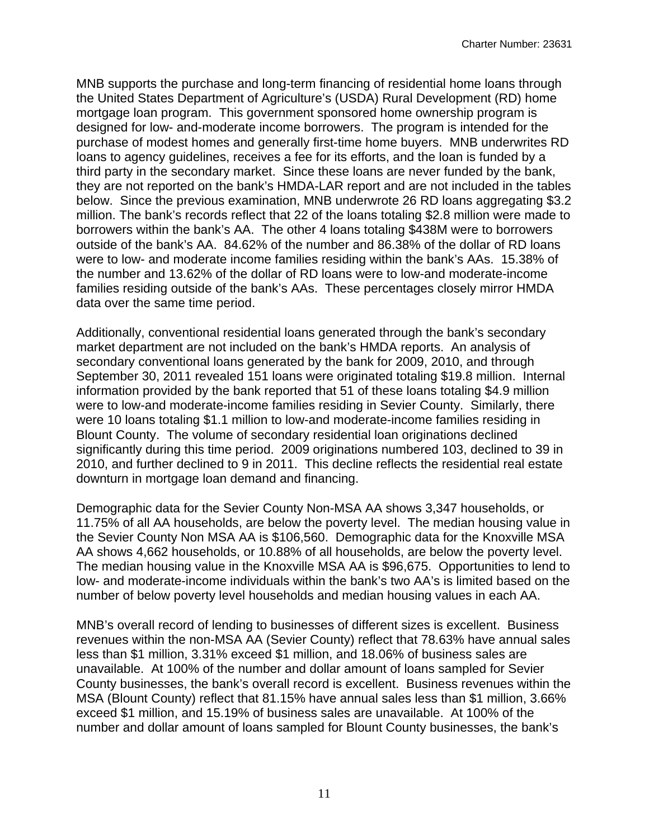mortgage loan program. This government sponsored home ownership program is MNB supports the purchase and long-term financing of residential home loans through the United States Department of Agriculture's (USDA) Rural Development (RD) home designed for low- and-moderate income borrowers. The program is intended for the purchase of modest homes and generally first-time home buyers. MNB underwrites RD loans to agency guidelines, receives a fee for its efforts, and the loan is funded by a third party in the secondary market. Since these loans are never funded by the bank, they are not reported on the bank's HMDA-LAR report and are not included in the tables below. Since the previous examination, MNB underwrote 26 RD loans aggregating \$3.2 million. The bank's records reflect that 22 of the loans totaling \$2.8 million were made to borrowers within the bank's AA. The other 4 loans totaling \$438M were to borrowers outside of the bank's AA. 84.62% of the number and 86.38% of the dollar of RD loans were to low- and moderate income families residing within the bank's AAs. 15.38% of the number and 13.62% of the dollar of RD loans were to low-and moderate-income families residing outside of the bank's AAs. These percentages closely mirror HMDA data over the same time period.

Additionally, conventional residential loans generated through the bank's secondary market department are not included on the bank's HMDA reports. An analysis of secondary conventional loans generated by the bank for 2009, 2010, and through September 30, 2011 revealed 151 loans were originated totaling \$19.8 million. Internal information provided by the bank reported that 51 of these loans totaling \$4.9 million were to low-and moderate-income families residing in Sevier County. Similarly, there were 10 loans totaling \$1.1 million to low-and moderate-income families residing in Blount County. The volume of secondary residential loan originations declined significantly during this time period. 2009 originations numbered 103, declined to 39 in 2010, and further declined to 9 in 2011. This decline reflects the residential real estate downturn in mortgage loan demand and financing.

Demographic data for the Sevier County Non-MSA AA shows 3,347 households, or 11.75% of all AA households, are below the poverty level. The median housing value in the Sevier County Non MSA AA is \$106,560. Demographic data for the Knoxville MSA AA shows 4,662 households, or 10.88% of all households, are below the poverty level. The median housing value in the Knoxville MSA AA is \$96,675. Opportunities to lend to low- and moderate-income individuals within the bank's two AA's is limited based on the number of below poverty level households and median housing values in each AA.

MNB's overall record of lending to businesses of different sizes is excellent. Business revenues within the non-MSA AA (Sevier County) reflect that 78.63% have annual sales less than \$1 million, 3.31% exceed \$1 million, and 18.06% of business sales are unavailable. At 100% of the number and dollar amount of loans sampled for Sevier County businesses, the bank's overall record is excellent. Business revenues within the MSA (Blount County) reflect that 81.15% have annual sales less than \$1 million, 3.66% exceed \$1 million, and 15.19% of business sales are unavailable. At 100% of the number and dollar amount of loans sampled for Blount County businesses, the bank's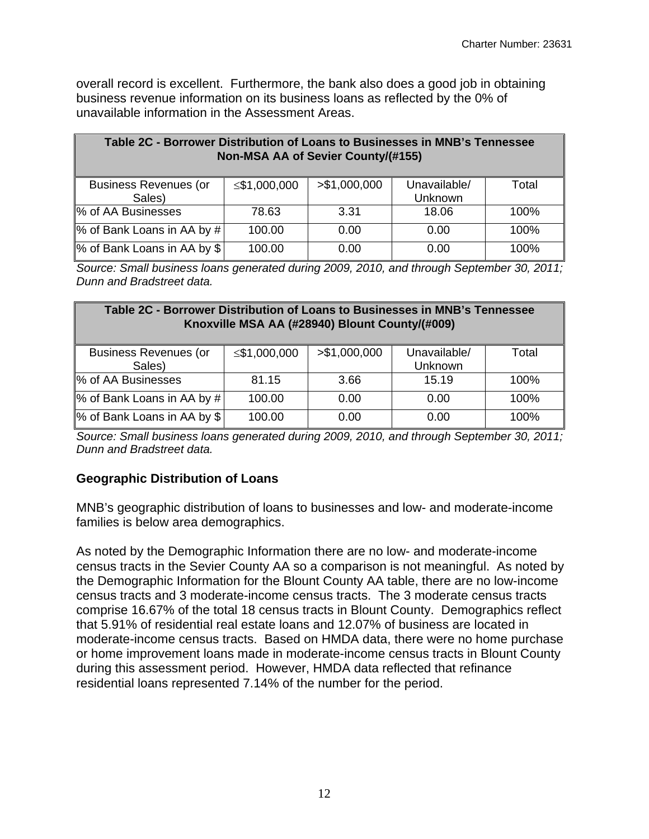overall record is excellent. Furthermore, the bank also does a good job in obtaining business revenue information on its business loans as reflected by the 0% of unavailable information in the Assessment Areas.

| Table 2C - Borrower Distribution of Loans to Businesses in MNB's Tennessee<br>Non-MSA AA of Sevier County/(#155) |              |               |                         |       |  |  |  |  |  |
|------------------------------------------------------------------------------------------------------------------|--------------|---------------|-------------------------|-------|--|--|--|--|--|
| <b>Business Revenues (or</b><br>Sales)                                                                           | ≤\$1,000,000 | > \$1,000,000 | Unavailable/<br>Unknown | Total |  |  |  |  |  |
| % of AA Businesses                                                                                               | 78.63        | 3.31          | 18.06                   | 100%  |  |  |  |  |  |
| % of Bank Loans in AA by #                                                                                       | 100.00       | 0.00          | 0.00                    | 100%  |  |  |  |  |  |
| % of Bank Loans in AA by \$                                                                                      | 100.00       | 0.00          | 0.00                    | 100%  |  |  |  |  |  |

*Source: Small business loans generated during 2009, 2010, and through September 30, 2011; Dunn and Bradstreet data.* 

| Table 2C - Borrower Distribution of Loans to Businesses in MNB's Tennessee<br>Knoxville MSA AA (#28940) Blount County/(#009) |              |               |                         |       |  |  |  |  |  |
|------------------------------------------------------------------------------------------------------------------------------|--------------|---------------|-------------------------|-------|--|--|--|--|--|
| <b>Business Revenues (or</b><br>Sales)                                                                                       | ≤\$1,000,000 | > \$1,000,000 | Unavailable/<br>Unknown | Total |  |  |  |  |  |
| % of AA Businesses                                                                                                           | 81.15        | 3.66          | 15.19                   | 100%  |  |  |  |  |  |
| % of Bank Loans in AA by #                                                                                                   | 100.00       | 0.00          | 0.00                    | 100%  |  |  |  |  |  |
| % of Bank Loans in AA by \$                                                                                                  | 100.00       | 0.00          | 0.00                    | 100%  |  |  |  |  |  |

*Source: Small business loans generated during 2009, 2010, and through September 30, 2011; Dunn and Bradstreet data.* 

## **Geographic Distribution of Loans**

MNB's geographic distribution of loans to businesses and low- and moderate-income families is below area demographics.

As noted by the Demographic Information there are no low- and moderate-income census tracts in the Sevier County AA so a comparison is not meaningful. As noted by the Demographic Information for the Blount County AA table, there are no low-income census tracts and 3 moderate-income census tracts. The 3 moderate census tracts comprise 16.67% of the total 18 census tracts in Blount County. Demographics reflect that 5.91% of residential real estate loans and 12.07% of business are located in moderate-income census tracts. Based on HMDA data, there were no home purchase or home improvement loans made in moderate-income census tracts in Blount County during this assessment period. However, HMDA data reflected that refinance residential loans represented 7.14% of the number for the period.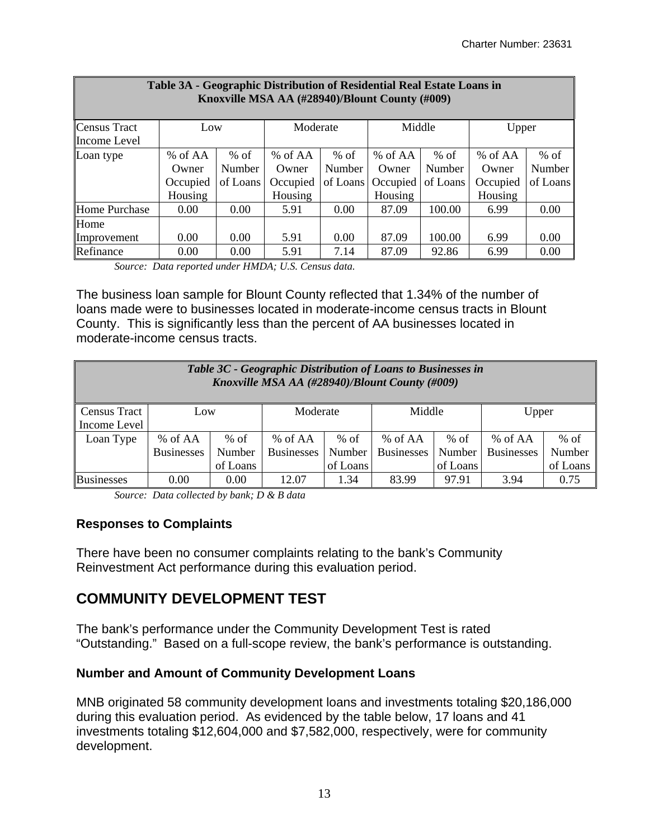| Table 3A - Geographic Distribution of Residential Real Estate Loans in<br>Knoxville MSA AA (#28940)/Blount County (#009) |          |               |           |               |          |          |          |          |  |  |
|--------------------------------------------------------------------------------------------------------------------------|----------|---------------|-----------|---------------|----------|----------|----------|----------|--|--|
| Census Tract                                                                                                             | Low      |               | Moderate  |               | Middle   |          | Upper    |          |  |  |
| Income Level                                                                                                             |          |               |           |               |          |          |          |          |  |  |
| Loan type                                                                                                                | % of AA  | $%$ of        | $%$ of AA | $%$ of        | % of AA  | $%$ of   | % of AA  | $%$ of   |  |  |
|                                                                                                                          | Owner    | <b>Number</b> | Owner     | <b>Number</b> | Owner    | Number   | Owner    | Number   |  |  |
|                                                                                                                          | Occupied | of Loans      | Occupied  | of Loans      | Occupied | of Loans | Occupied | of Loans |  |  |
|                                                                                                                          | Housing  |               | Housing   |               | Housing  |          | Housing  |          |  |  |
| Home Purchase                                                                                                            | 0.00     | 0.00          | 5.91      | 0.00          | 87.09    | 100.00   | 6.99     | 0.00     |  |  |
| Home                                                                                                                     |          |               |           |               |          |          |          |          |  |  |
| Improvement                                                                                                              | 0.00     | 0.00          | 5.91      | 0.00          | 87.09    | 100.00   | 6.99     | 0.00     |  |  |
| Refinance                                                                                                                | 0.00     | 0.00          | 5.91      | 7.14          | 87.09    | 92.86    | 6.99     | 0.00     |  |  |

*Source: Data reported under HMDA; U.S. Census data.* 

The business loan sample for Blount County reflected that 1.34% of the number of loans made were to businesses located in moderate-income census tracts in Blount County. This is significantly less than the percent of AA businesses located in moderate-income census tracts.

| Table 3C - Geographic Distribution of Loans to Businesses in<br>Knoxville MSA AA (#28940)/Blount County (#009) |                   |          |                   |          |                   |          |                   |          |  |
|----------------------------------------------------------------------------------------------------------------|-------------------|----------|-------------------|----------|-------------------|----------|-------------------|----------|--|
| <b>Census Tract</b>                                                                                            | Low               |          | Moderate          |          | Middle            |          | Upper             |          |  |
| Income Level                                                                                                   |                   |          |                   |          |                   |          |                   |          |  |
| Loan Type                                                                                                      | % of AA           | $%$ of   | % of AA           | $%$ of   | % of AA           | % of     | % of AA           | $%$ of   |  |
|                                                                                                                | <b>Businesses</b> | Number   | <b>Businesses</b> | Number   | <b>Businesses</b> | Number   | <b>Businesses</b> | Number   |  |
|                                                                                                                |                   | of Loans |                   | of Loans |                   | of Loans |                   | of Loans |  |
| <b>Businesses</b>                                                                                              | 0.00              | 0.00     | 12.07             | 1.34     | 83.99             | 97.91    | 3.94              | 0.75     |  |

*Source: Data collected by bank; D & B data* 

## **Responses to Complaints**

There have been no consumer complaints relating to the bank's Community Reinvestment Act performance during this evaluation period.

## **COMMUNITY DEVELOPMENT TEST**

The bank's performance under the Community Development Test is rated "Outstanding." Based on a full-scope review, the bank's performance is outstanding.

## **Number and Amount of Community Development Loans**

MNB originated 58 community development loans and investments totaling \$20,186,000 during this evaluation period. As evidenced by the table below, 17 loans and 41 investments totaling \$12,604,000 and \$7,582,000, respectively, were for community development.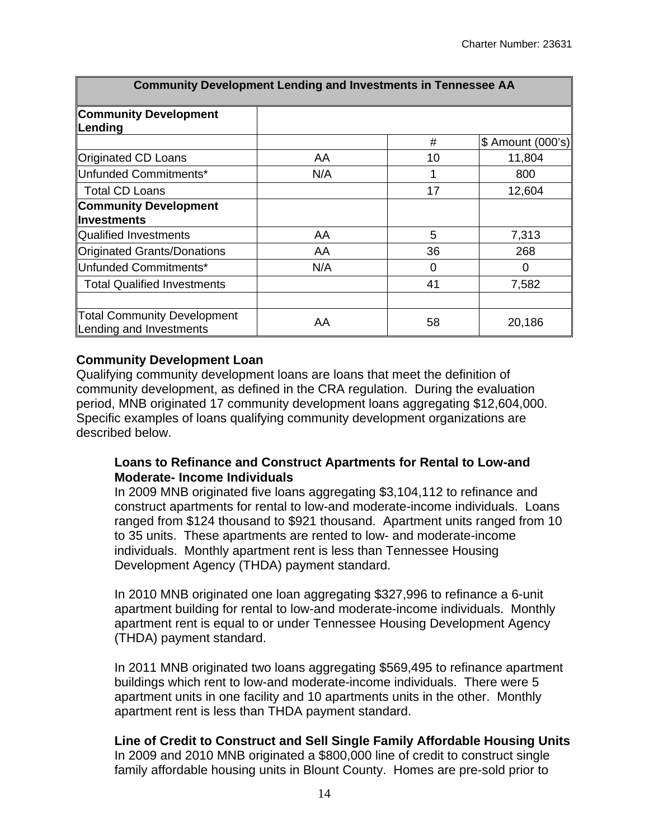| <b>Community Development Lending and Investments in Tennessee AA</b> |     |    |                   |  |  |  |  |  |
|----------------------------------------------------------------------|-----|----|-------------------|--|--|--|--|--|
| <b>Community Development</b><br>Lending                              |     |    |                   |  |  |  |  |  |
|                                                                      |     | #  | \$ Amount (000's) |  |  |  |  |  |
| <b>Originated CD Loans</b>                                           | AA  | 10 | 11,804            |  |  |  |  |  |
| Unfunded Commitments*                                                | N/A | 1  | 800               |  |  |  |  |  |
| <b>Total CD Loans</b>                                                |     | 17 | 12,604            |  |  |  |  |  |
| <b>Community Development</b>                                         |     |    |                   |  |  |  |  |  |
| <b>Investments</b>                                                   |     |    |                   |  |  |  |  |  |
| <b>Qualified Investments</b>                                         | AA  | 5  | 7,313             |  |  |  |  |  |
| <b>Originated Grants/Donations</b>                                   | AA  | 36 | 268               |  |  |  |  |  |
| Unfunded Commitments*                                                | N/A | 0  | 0                 |  |  |  |  |  |
| <b>Total Qualified Investments</b>                                   |     | 41 | 7,582             |  |  |  |  |  |
|                                                                      |     |    |                   |  |  |  |  |  |
| <b>Total Community Development</b><br>Lending and Investments        | AA  | 58 | 20,186            |  |  |  |  |  |

#### **Community Development Loan**

Qualifying community development loans are loans that meet the definition of community development, as defined in the CRA regulation. During the evaluation period, MNB originated 17 community development loans aggregating \$12,604,000. Specific examples of loans qualifying community development organizations are described below.

#### **Loans to Refinance and Construct Apartments for Rental to Low-and Moderate- Income Individuals**

In 2009 MNB originated five loans aggregating \$3,104,112 to refinance and construct apartments for rental to low-and moderate-income individuals. Loans ranged from \$124 thousand to \$921 thousand. Apartment units ranged from 10 to 35 units. These apartments are rented to low- and moderate-income individuals. Monthly apartment rent is less than Tennessee Housing Development Agency (THDA) payment standard.

In 2010 MNB originated one loan aggregating \$327,996 to refinance a 6-unit apartment building for rental to low-and moderate-income individuals. Monthly apartment rent is equal to or under Tennessee Housing Development Agency (THDA) payment standard.

In 2011 MNB originated two loans aggregating \$569,495 to refinance apartment buildings which rent to low-and moderate-income individuals. There were 5 apartment units in one facility and 10 apartments units in the other. Monthly apartment rent is less than THDA payment standard.

#### **Line of Credit to Construct and Sell Single Family Affordable Housing Units**

In 2009 and 2010 MNB originated a \$800,000 line of credit to construct single family affordable housing units in Blount County. Homes are pre-sold prior to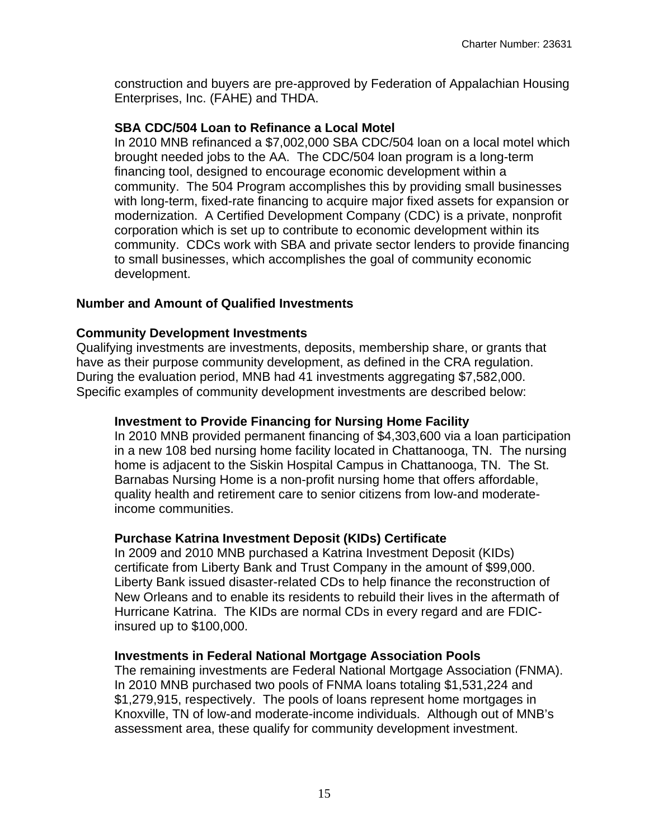construction and buyers are pre-approved by Federation of Appalachian Housing Enterprises, Inc. (FAHE) and THDA.

#### **SBA CDC/504 Loan to Refinance a Local Motel**

In 2010 MNB refinanced a \$7,002,000 SBA CDC/504 loan on a local motel which brought needed jobs to the AA. The CDC/504 loan program is a long-term financing tool, designed to encourage economic development within a community. The 504 Program accomplishes this by providing small businesses with long-term, fixed-rate financing to acquire major fixed assets for expansion or modernization. A Certified Development Company (CDC) is a private, nonprofit corporation which is set up to contribute to economic development within its community. CDCs work with SBA and private sector lenders to provide financing to small businesses, which accomplishes the goal of community economic development.

#### **Number and Amount of Qualified Investments**

#### **Community Development Investments**

Qualifying investments are investments, deposits, membership share, or grants that have as their purpose community development, as defined in the CRA regulation. During the evaluation period, MNB had 41 investments aggregating \$7,582,000. Specific examples of community development investments are described below:

#### **Investment to Provide Financing for Nursing Home Facility**

In 2010 MNB provided permanent financing of \$4,303,600 via a loan participation in a new 108 bed nursing home facility located in Chattanooga, TN. The nursing home is adjacent to the Siskin Hospital Campus in Chattanooga, TN. The St. Barnabas Nursing Home is a non-profit nursing home that offers affordable, quality health and retirement care to senior citizens from low-and moderateincome communities.

#### **Purchase Katrina Investment Deposit (KIDs) Certificate**

In 2009 and 2010 MNB purchased a Katrina Investment Deposit (KIDs) certificate from Liberty Bank and Trust Company in the amount of \$99,000. Liberty Bank issued disaster-related CDs to help finance the reconstruction of New Orleans and to enable its residents to rebuild their lives in the aftermath of Hurricane Katrina. The KIDs are normal CDs in every regard and are FDICinsured up to \$100,000.

#### **Investments in Federal National Mortgage Association Pools**

The remaining investments are Federal National Mortgage Association (FNMA). In 2010 MNB purchased two pools of FNMA loans totaling \$1,531,224 and \$1,279,915, respectively. The pools of loans represent home mortgages in Knoxville, TN of low-and moderate-income individuals. Although out of MNB's assessment area, these qualify for community development investment.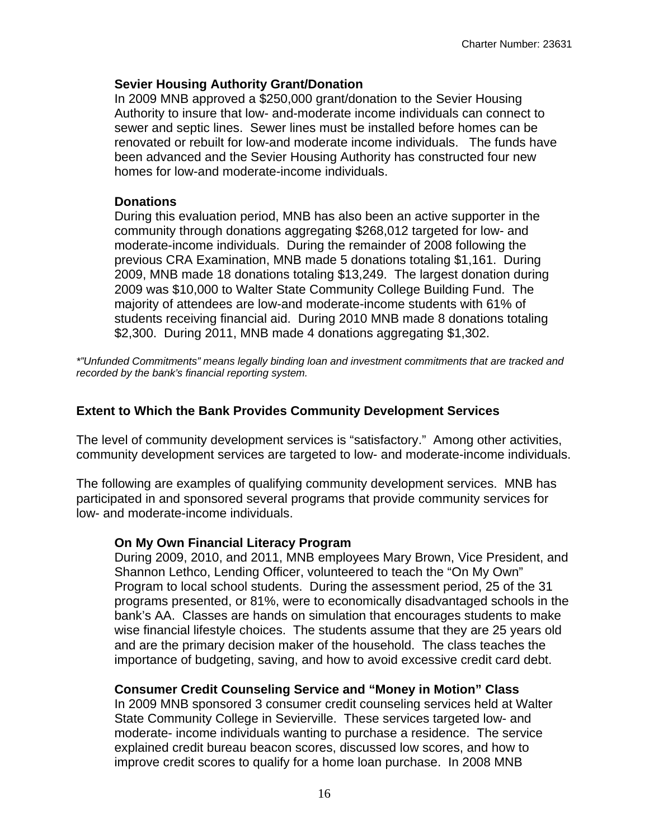#### **Sevier Housing Authority Grant/Donation**

In 2009 MNB approved a \$250,000 grant/donation to the Sevier Housing Authority to insure that low- and-moderate income individuals can connect to sewer and septic lines. Sewer lines must be installed before homes can be renovated or rebuilt for low-and moderate income individuals. The funds have been advanced and the Sevier Housing Authority has constructed four new homes for low-and moderate-income individuals.

#### **Donations**

During this evaluation period, MNB has also been an active supporter in the community through donations aggregating \$268,012 targeted for low- and moderate-income individuals. During the remainder of 2008 following the previous CRA Examination, MNB made 5 donations totaling \$1,161. During 2009, MNB made 18 donations totaling \$13,249. The largest donation during 2009 was \$10,000 to Walter State Community College Building Fund. The majority of attendees are low-and moderate-income students with 61% of students receiving financial aid. During 2010 MNB made 8 donations totaling \$2,300. During 2011, MNB made 4 donations aggregating \$1,302.

*\*"Unfunded Commitments" means legally binding loan and investment commitments that are tracked and recorded by the bank's financial reporting system.* 

## **Extent to Which the Bank Provides Community Development Services**

The level of community development services is "satisfactory." Among other activities, community development services are targeted to low- and moderate-income individuals.

The following are examples of qualifying community development services. MNB has participated in and sponsored several programs that provide community services for low- and moderate-income individuals.

#### **On My Own Financial Literacy Program**

During 2009, 2010, and 2011, MNB employees Mary Brown, Vice President, and Shannon Lethco, Lending Officer, volunteered to teach the "On My Own" Program to local school students. During the assessment period, 25 of the 31 programs presented, or 81%, were to economically disadvantaged schools in the bank's AA. Classes are hands on simulation that encourages students to make wise financial lifestyle choices. The students assume that they are 25 years old and are the primary decision maker of the household. The class teaches the importance of budgeting, saving, and how to avoid excessive credit card debt.

## **Consumer Credit Counseling Service and "Money in Motion" Class**

In 2009 MNB sponsored 3 consumer credit counseling services held at Walter State Community College in Sevierville. These services targeted low- and moderate- income individuals wanting to purchase a residence. The service explained credit bureau beacon scores, discussed low scores, and how to improve credit scores to qualify for a home loan purchase. In 2008 MNB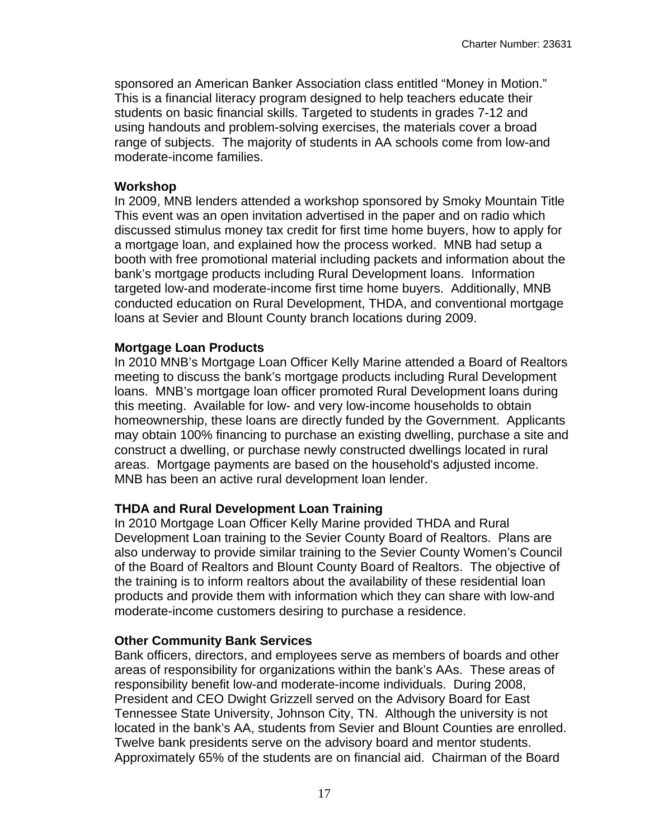sponsored an American Banker Association class entitled "Money in Motion." This is a financial literacy program designed to help teachers educate their students on basic financial skills. Targeted to students in grades 7-12 and using handouts and problem-solving exercises, the materials cover a broad range of subjects. The majority of students in AA schools come from low-and moderate-income families.

#### **Workshop**

In 2009, MNB lenders attended a workshop sponsored by Smoky Mountain Title This event was an open invitation advertised in the paper and on radio which discussed stimulus money tax credit for first time home buyers, how to apply for a mortgage loan, and explained how the process worked. MNB had setup a booth with free promotional material including packets and information about the bank's mortgage products including Rural Development loans. Information targeted low-and moderate-income first time home buyers. Additionally, MNB conducted education on Rural Development, THDA, and conventional mortgage loans at Sevier and Blount County branch locations during 2009.

#### **Mortgage Loan Products**

In 2010 MNB's Mortgage Loan Officer Kelly Marine attended a Board of Realtors meeting to discuss the bank's mortgage products including Rural Development loans. MNB's mortgage loan officer promoted Rural Development loans during this meeting. Available for low- and very low-income households to obtain homeownership, these loans are directly funded by the Government. Applicants may obtain 100% financing to purchase an existing dwelling, purchase a site and construct a dwelling, or purchase newly constructed dwellings located in rural areas. Mortgage payments are based on the household's adjusted income. MNB has been an active rural development loan lender.

#### **THDA and Rural Development Loan Training**

In 2010 Mortgage Loan Officer Kelly Marine provided THDA and Rural Development Loan training to the Sevier County Board of Realtors. Plans are also underway to provide similar training to the Sevier County Women's Council of the Board of Realtors and Blount County Board of Realtors. The objective of the training is to inform realtors about the availability of these residential loan products and provide them with information which they can share with low-and moderate-income customers desiring to purchase a residence.

#### **Other Community Bank Services**

Bank officers, directors, and employees serve as members of boards and other areas of responsibility for organizations within the bank's AAs. These areas of responsibility benefit low-and moderate-income individuals. During 2008, President and CEO Dwight Grizzell served on the Advisory Board for East Tennessee State University, Johnson City, TN. Although the university is not located in the bank's AA, students from Sevier and Blount Counties are enrolled. Twelve bank presidents serve on the advisory board and mentor students. Approximately 65% of the students are on financial aid. Chairman of the Board